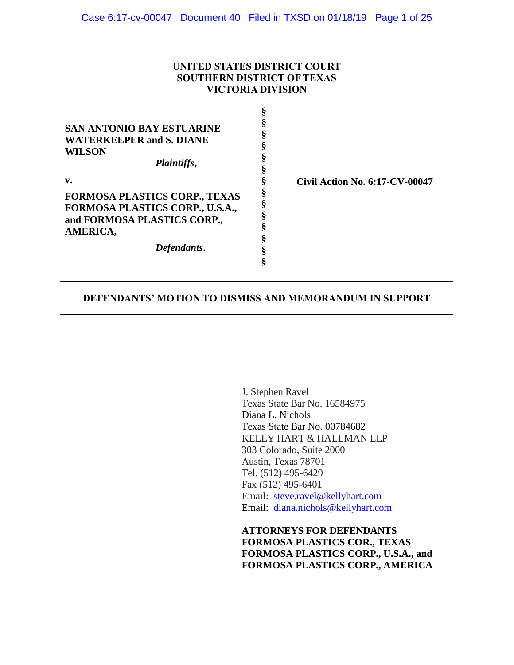### **UNITED STATES DISTRICT COURT SOUTHERN DISTRICT OF TEXAS VICTORIA DIVISION**

| SAN ANTONIO BAY ESTUARINE<br><b>WATERKEEPER and S. DIANE</b><br><b>WILSON</b><br>Plaintiffs,<br>v.<br><b>FORMOSA PLASTICS CORP., TEXAS</b><br>FORMOSA PLASTICS CORP., U.S.A.,<br>and FORMOSA PLASTICS CORP.,<br>AMERICA,<br>Defendants. | <b>Civil Action No. 6:17-CV-00047</b> |
|-----------------------------------------------------------------------------------------------------------------------------------------------------------------------------------------------------------------------------------------|---------------------------------------|
|-----------------------------------------------------------------------------------------------------------------------------------------------------------------------------------------------------------------------------------------|---------------------------------------|

### **DEFENDANTS' MOTION TO DISMISS AND MEMORANDUM IN SUPPORT**

J. Stephen Ravel Texas State Bar No. 16584975 Diana L. Nichols Texas State Bar No. 00784682 KELLY HART & HALLMAN LLP 303 Colorado, Suite 2000 Austin, Texas 78701 Tel. (512) 495-6429 Fax (512) 495-6401 Email: steve.ravel@kellyhart.com Email: diana.nichols@kellyhart.com

**ATTORNEYS FOR DEFENDANTS FORMOSA PLASTICS COR., TEXAS FORMOSA PLASTICS CORP., U.S.A., and FORMOSA PLASTICS CORP., AMERICA**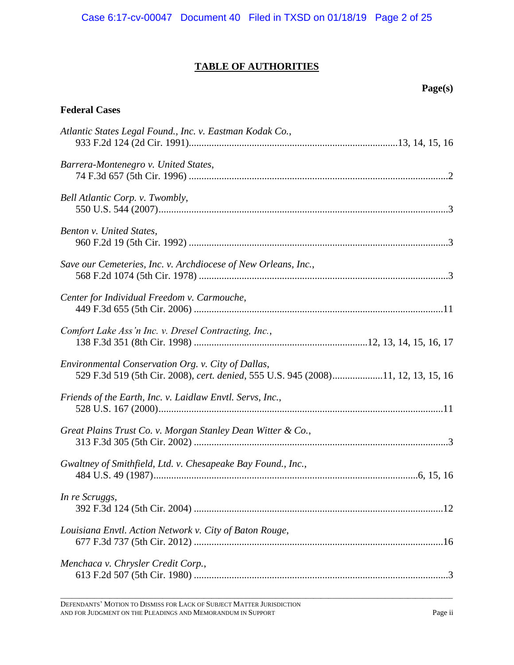# **TABLE OF AUTHORITIES**

### **Page(s)**

# **Federal Cases**

| Atlantic States Legal Found., Inc. v. Eastman Kodak Co.,                                                                                |
|-----------------------------------------------------------------------------------------------------------------------------------------|
| Barrera-Montenegro v. United States,                                                                                                    |
| Bell Atlantic Corp. v. Twombly,                                                                                                         |
| Benton v. United States,                                                                                                                |
| Save our Cemeteries, Inc. v. Archdiocese of New Orleans, Inc.,                                                                          |
| Center for Individual Freedom v. Carmouche,                                                                                             |
| Comfort Lake Ass'n Inc. v. Dresel Contracting, Inc.,                                                                                    |
| Environmental Conservation Org. v. City of Dallas,<br>529 F.3d 519 (5th Cir. 2008), cert. denied, 555 U.S. 945 (2008)11, 12, 13, 15, 16 |
| Friends of the Earth, Inc. v. Laidlaw Envtl. Servs, Inc.,                                                                               |
| Great Plains Trust Co. v. Morgan Stanley Dean Witter & Co.,                                                                             |
| Gwaltney of Smithfield, Ltd. v. Chesapeake Bay Found., Inc.,                                                                            |
| In re Scruggs,                                                                                                                          |
| Louisiana Envtl. Action Network v. City of Baton Rouge,                                                                                 |
| Menchaca v. Chrysler Credit Corp.,                                                                                                      |

\_\_\_\_\_\_\_\_\_\_\_\_\_\_\_\_\_\_\_\_\_\_\_\_\_\_\_\_\_\_\_\_\_\_\_\_\_\_\_\_\_\_\_\_\_\_\_\_\_\_\_\_\_\_\_\_\_\_\_\_\_\_\_\_\_\_\_\_\_\_\_\_\_\_\_\_\_\_\_\_\_\_\_\_\_\_\_\_\_\_\_\_\_\_\_\_\_\_\_\_\_\_\_\_

DEFENDANTS' MOTION TO DISMISS FOR LACK OF SUBJECT MATTER JURISDICTION AND FOR JUDGMENT ON THE PLEADINGS AND MEMORANDUM IN SUPPORT Page ii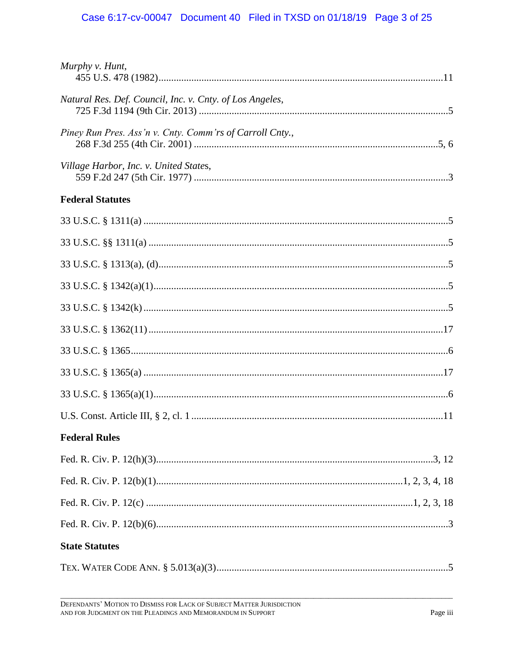# Case 6:17-cv-00047 Document 40 Filed in TXSD on 01/18/19 Page 3 of 25

| Murphy v. Hunt,                                          |  |
|----------------------------------------------------------|--|
| Natural Res. Def. Council, Inc. v. Cnty. of Los Angeles, |  |
| Piney Run Pres. Ass'n v. Cnty. Comm'rs of Carroll Cnty., |  |
| Village Harbor, Inc. v. United States,                   |  |
| <b>Federal Statutes</b>                                  |  |
|                                                          |  |
|                                                          |  |
|                                                          |  |
|                                                          |  |
|                                                          |  |
|                                                          |  |
|                                                          |  |
|                                                          |  |
|                                                          |  |
|                                                          |  |
| <b>Federal Rules</b>                                     |  |
|                                                          |  |
|                                                          |  |
|                                                          |  |
|                                                          |  |
| <b>State Statutes</b>                                    |  |
|                                                          |  |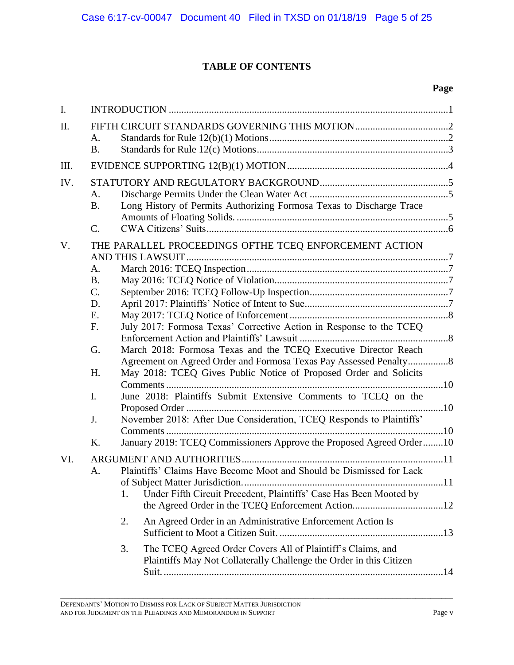# **TABLE OF CONTENTS**

### **Page**

| Ι.  |                                                                                                                                                                                                                                                                                                                                                                                                                                                                                                                                                                  |  |
|-----|------------------------------------------------------------------------------------------------------------------------------------------------------------------------------------------------------------------------------------------------------------------------------------------------------------------------------------------------------------------------------------------------------------------------------------------------------------------------------------------------------------------------------------------------------------------|--|
| II. | A.<br><b>B.</b>                                                                                                                                                                                                                                                                                                                                                                                                                                                                                                                                                  |  |
| Ш.  |                                                                                                                                                                                                                                                                                                                                                                                                                                                                                                                                                                  |  |
| IV. | A.<br>Long History of Permits Authorizing Formosa Texas to Discharge Trace<br><b>B.</b><br>$\mathcal{C}$ .                                                                                                                                                                                                                                                                                                                                                                                                                                                       |  |
| V.  | THE PARALLEL PROCEEDINGS OFTHE TCEQ ENFORCEMENT ACTION<br>A.<br><b>B.</b><br>C.<br>D.<br>Ε.<br>July 2017: Formosa Texas' Corrective Action in Response to the TCEQ<br>F.<br>March 2018: Formosa Texas and the TCEQ Executive Director Reach<br>G.<br>May 2018: TCEQ Gives Public Notice of Proposed Order and Solicits<br>H.<br>June 2018: Plaintiffs Submit Extensive Comments to TCEQ on the<br>I.<br>November 2018: After Due Consideration, TCEQ Responds to Plaintiffs'<br>J.<br>January 2019: TCEQ Commissioners Approve the Proposed Agreed Order10<br>Κ. |  |
| VI. | Plaintiffs' Claims Have Become Moot and Should be Dismissed for Lack<br>A.<br>Under Fifth Circuit Precedent, Plaintiffs' Case Has Been Mooted by<br>1.<br>An Agreed Order in an Administrative Enforcement Action Is<br>2.<br>The TCEQ Agreed Order Covers All of Plaintiff's Claims, and<br>3.<br>Plaintiffs May Not Collaterally Challenge the Order in this Citizen                                                                                                                                                                                           |  |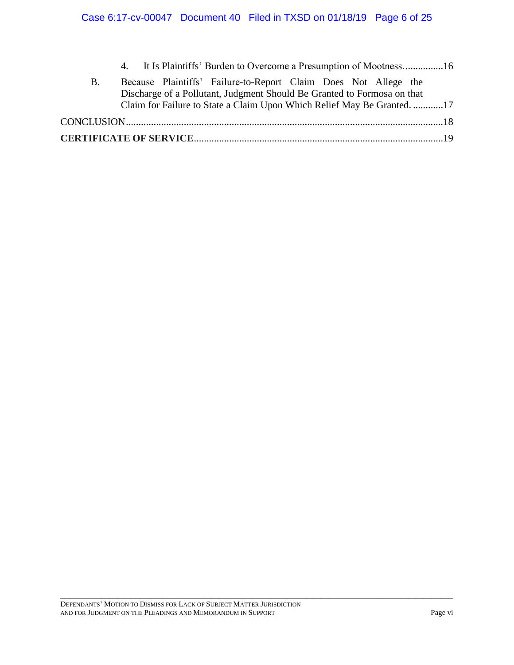|    | 4. It Is Plaintiffs' Burden to Overcome a Presumption of Mootness16                                                                        |  |
|----|--------------------------------------------------------------------------------------------------------------------------------------------|--|
| В. | Because Plaintiffs' Failure-to-Report Claim Does Not Allege the<br>Discharge of a Pollutant, Judgment Should Be Granted to Formosa on that |  |
|    | Claim for Failure to State a Claim Upon Which Relief May Be Granted17                                                                      |  |
|    |                                                                                                                                            |  |
|    |                                                                                                                                            |  |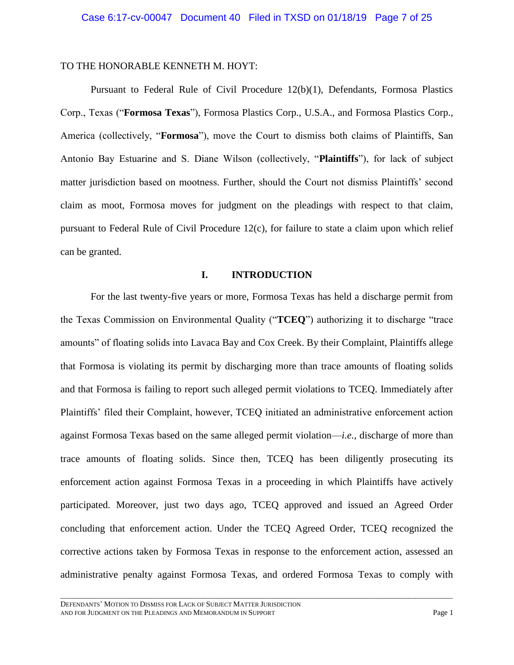#### TO THE HONORABLE KENNETH M. HOYT:

<span id="page-6-0"></span>Pursuant to Federal Rule of Civil Procedure 12(b)(1), Defendants, Formosa Plastics Corp., Texas ("**Formosa Texas**"), Formosa Plastics Corp., U.S.A., and Formosa Plastics Corp., America (collectively, "**Formosa**"), move the Court to dismiss both claims of Plaintiffs, San Antonio Bay Estuarine and S. Diane Wilson (collectively, "**Plaintiffs**"), for lack of subject matter jurisdiction based on mootness. Further, should the Court not dismiss Plaintiffs' second claim as moot, Formosa moves for judgment on the pleadings with respect to that claim, pursuant to Federal Rule of Civil Procedure 12(c), for failure to state a claim upon which relief can be granted.

### **I. INTRODUCTION**

<span id="page-6-1"></span>For the last twenty-five years or more, Formosa Texas has held a discharge permit from the Texas Commission on Environmental Quality ("**TCEQ**") authorizing it to discharge "trace amounts" of floating solids into Lavaca Bay and Cox Creek. By their Complaint, Plaintiffs allege that Formosa is violating its permit by discharging more than trace amounts of floating solids and that Formosa is failing to report such alleged permit violations to TCEQ. Immediately after Plaintiffs' filed their Complaint, however, TCEQ initiated an administrative enforcement action against Formosa Texas based on the same alleged permit violation—*i.e.*, discharge of more than trace amounts of floating solids. Since then, TCEQ has been diligently prosecuting its enforcement action against Formosa Texas in a proceeding in which Plaintiffs have actively participated. Moreover, just two days ago, TCEQ approved and issued an Agreed Order concluding that enforcement action. Under the TCEQ Agreed Order, TCEQ recognized the corrective actions taken by Formosa Texas in response to the enforcement action, assessed an administrative penalty against Formosa Texas, and ordered Formosa Texas to comply with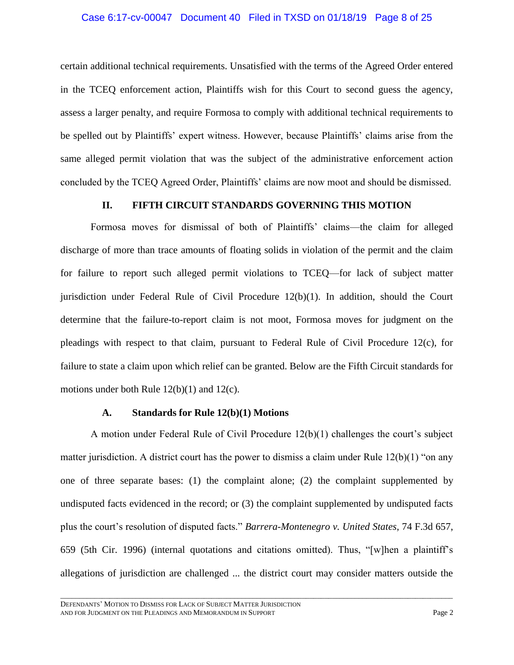#### Case 6:17-cv-00047 Document 40 Filed in TXSD on 01/18/19 Page 8 of 25

certain additional technical requirements. Unsatisfied with the terms of the Agreed Order entered in the TCEQ enforcement action, Plaintiffs wish for this Court to second guess the agency, assess a larger penalty, and require Formosa to comply with additional technical requirements to be spelled out by Plaintiffs' expert witness. However, because Plaintiffs' claims arise from the same alleged permit violation that was the subject of the administrative enforcement action concluded by the TCEQ Agreed Order, Plaintiffs' claims are now moot and should be dismissed.

#### **II. FIFTH CIRCUIT STANDARDS GOVERNING THIS MOTION**

Formosa moves for dismissal of both of Plaintiffs' claims—the claim for alleged discharge of more than trace amounts of floating solids in violation of the permit and the claim for failure to report such alleged permit violations to TCEQ—for lack of subject matter jurisdiction under Federal Rule of Civil Procedure 12(b)(1). In addition, should the Court determine that the failure-to-report claim is not moot, Formosa moves for judgment on the pleadings with respect to that claim, pursuant to Federal Rule of Civil Procedure 12(c), for failure to state a claim upon which relief can be granted. Below are the Fifth Circuit standards for motions under both Rule 12(b)(1) and 12(c).

### <span id="page-7-0"></span>**A. Standards for Rule 12(b)(1) Motions**

A motion under Federal Rule of Civil Procedure 12(b)(1) challenges the court's subject matter jurisdiction. A district court has the power to dismiss a claim under Rule 12(b)(1) "on any one of three separate bases: (1) the complaint alone; (2) the complaint supplemented by undisputed facts evidenced in the record; or (3) the complaint supplemented by undisputed facts plus the court's resolution of disputed facts." *Barrera-Montenegro v. United States*, 74 F.3d 657, 659 (5th Cir. 1996) (internal quotations and citations omitted). Thus, "[w]hen a plaintiff's allegations of jurisdiction are challenged ... the district court may consider matters outside the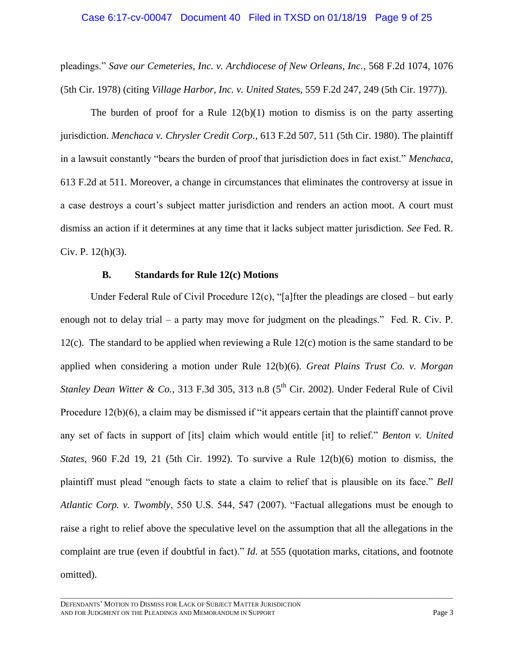#### <span id="page-8-2"></span>Case 6:17-cv-00047 Document 40 Filed in TXSD on 01/18/19 Page 9 of 25

pleadings." *Save our Cemeteries, Inc. v. Archdiocese of New Orleans, Inc.*, 568 F.2d 1074, 1076 (5th Cir. 1978) (citing *Village Harbor, Inc. v. United State*s, 559 F.2d 247, 249 (5th Cir. 1977)).

<span id="page-8-4"></span>The burden of proof for a Rule  $12(b)(1)$  motion to dismiss is on the party asserting jurisdiction. *Menchaca v. Chrysler Credit Corp.*, 613 F.2d 507, 511 (5th Cir. 1980). The plaintiff in a lawsuit constantly "bears the burden of proof that jurisdiction does in fact exist." *Menchaca*, 613 F.2d at 511. Moreover, a change in circumstances that eliminates the controversy at issue in a case destroys a court's subject matter jurisdiction and renders an action moot. A court must dismiss an action if it determines at any time that it lacks subject matter jurisdiction. *See* Fed. R. Civ. P.  $12(h)(3)$ .

#### <span id="page-8-6"></span><span id="page-8-5"></span><span id="page-8-3"></span><span id="page-8-1"></span><span id="page-8-0"></span>**B. Standards for Rule 12(c) Motions**

Under Federal Rule of Civil Procedure 12(c), "[a]fter the pleadings are closed – but early enough not to delay trial – a party may move for judgment on the pleadings." Fed. R. Civ. P. 12(c). The standard to be applied when reviewing a Rule 12(c) motion is the same standard to be applied when considering a motion under Rule 12(b)(6). *Great Plains Trust Co. v. Morgan Stanley Dean Witter & Co.*, 313 F.3d 305, 313 n.8  $(5^{th}$  Cir. 2002). Under Federal Rule of Civil Procedure 12(b)(6), a claim may be dismissed if "it appears certain that the plaintiff cannot prove any set of facts in support of [its] claim which would entitle [it] to relief." *Benton v. United States*, 960 F.2d 19, 21 (5th Cir. 1992). To survive a Rule 12(b)(6) motion to dismiss, the plaintiff must plead "enough facts to state a claim to relief that is plausible on its face." *Bell Atlantic Corp. v. Twombly*, 550 U.S. 544, 547 (2007). "Factual allegations must be enough to raise a right to relief above the speculative level on the assumption that all the allegations in the complaint are true (even if doubtful in fact)." *Id*. at 555 (quotation marks, citations, and footnote omitted).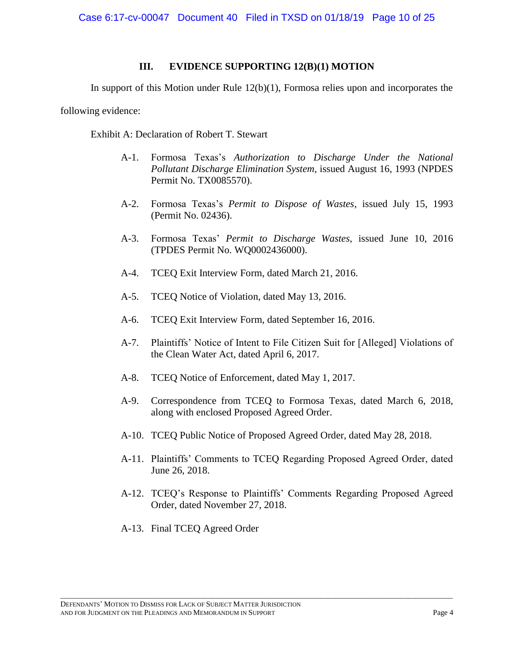### **III. EVIDENCE SUPPORTING 12(B)(1) MOTION**

In support of this Motion under Rule 12(b)(1), Formosa relies upon and incorporates the

following evidence:

Exhibit A: Declaration of Robert T. Stewart

- A-1. Formosa Texas's *Authorization to Discharge Under the National Pollutant Discharge Elimination System*, issued August 16, 1993 (NPDES Permit No. TX0085570).
- A-2. Formosa Texas's *Permit to Dispose of Wastes*, issued July 15, 1993 (Permit No. 02436).
- A-3. Formosa Texas' *Permit to Discharge Wastes*, issued June 10, 2016 (TPDES Permit No. WQ0002436000).
- A-4. TCEQ Exit Interview Form, dated March 21, 2016.
- A-5. TCEQ Notice of Violation, dated May 13, 2016.
- A-6. TCEQ Exit Interview Form, dated September 16, 2016.
- A-7. Plaintiffs' Notice of Intent to File Citizen Suit for [Alleged] Violations of the Clean Water Act, dated April 6, 2017.
- A-8. TCEQ Notice of Enforcement, dated May 1, 2017.
- A-9. Correspondence from TCEQ to Formosa Texas, dated March 6, 2018, along with enclosed Proposed Agreed Order.
- A-10. TCEQ Public Notice of Proposed Agreed Order, dated May 28, 2018.
- A-11. Plaintiffs' Comments to TCEQ Regarding Proposed Agreed Order, dated June 26, 2018.
- A-12. TCEQ's Response to Plaintiffs' Comments Regarding Proposed Agreed Order, dated November 27, 2018.

\_\_\_\_\_\_\_\_\_\_\_\_\_\_\_\_\_\_\_\_\_\_\_\_\_\_\_\_\_\_\_\_\_\_\_\_\_\_\_\_\_\_\_\_\_\_\_\_\_\_\_\_\_\_\_\_\_\_\_\_\_\_\_\_\_\_\_\_\_\_\_\_\_\_\_\_\_\_\_\_\_\_\_\_\_\_\_\_\_\_\_\_\_\_\_\_\_\_\_\_\_\_\_\_

A-13. Final TCEQ Agreed Order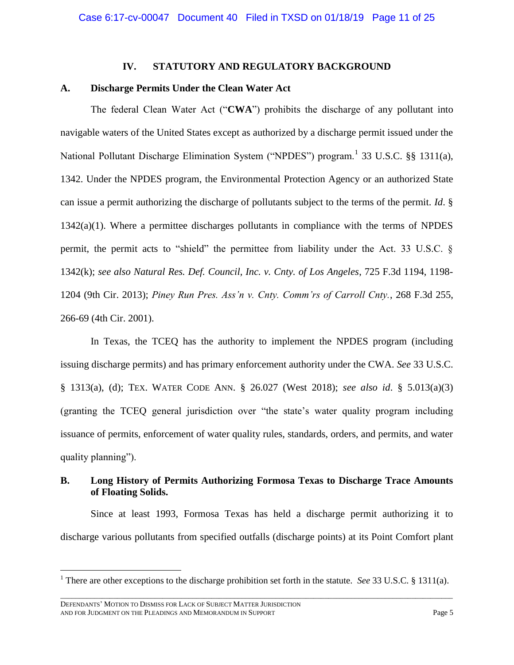#### <span id="page-10-4"></span><span id="page-10-2"></span>**IV. STATUTORY AND REGULATORY BACKGROUND**

### **A. Discharge Permits Under the Clean Water Act**

The federal Clean Water Act ("**CWA**") prohibits the discharge of any pollutant into navigable waters of the United States except as authorized by a discharge permit issued under the National Pollutant Discharge Elimination System ("NPDES") program.<sup>1</sup> 33 U.S.C. §§ 1311(a), 1342. Under the NPDES program, the Environmental Protection Agency or an authorized State can issue a permit authorizing the discharge of pollutants subject to the terms of the permit. *Id*. § 1342(a)(1). Where a permittee discharges pollutants in compliance with the terms of NPDES permit, the permit acts to "shield" the permittee from liability under the Act. 33 U.S.C. § 1342(k); *see also Natural Res. Def. Council, Inc. v. Cnty. of Los Angeles*, 725 F.3d 1194, 1198- 1204 (9th Cir. 2013); *Piney Run Pres. Ass'n v. Cnty. Comm'rs of Carroll Cnty.*, 268 F.3d 255, 266-69 (4th Cir. 2001).

<span id="page-10-5"></span><span id="page-10-3"></span><span id="page-10-0"></span>In Texas, the TCEQ has the authority to implement the NPDES program (including issuing discharge permits) and has primary enforcement authority under the CWA. *See* 33 U.S.C. § 1313(a), (d); TEX. WATER CODE ANN. § 26.027 (West 2018); *see also id*. § 5.013(a)(3) (granting the TCEQ general jurisdiction over "the state's water quality program including issuance of permits, enforcement of water quality rules, standards, orders, and permits, and water quality planning").

# **B. Long History of Permits Authorizing Formosa Texas to Discharge Trace Amounts of Floating Solids.**

Since at least 1993, Formosa Texas has held a discharge permit authorizing it to discharge various pollutants from specified outfalls (discharge points) at its Point Comfort plant

<span id="page-10-1"></span> $\overline{a}$ 

\_\_\_\_\_\_\_\_\_\_\_\_\_\_\_\_\_\_\_\_\_\_\_\_\_\_\_\_\_\_\_\_\_\_\_\_\_\_\_\_\_\_\_\_\_\_\_\_\_\_\_\_\_\_\_\_\_\_\_\_\_\_\_\_\_\_\_\_\_\_\_\_\_\_\_\_\_\_\_\_\_\_\_\_\_\_\_\_\_\_\_\_\_\_\_\_\_\_\_\_\_\_\_\_ <sup>1</sup> There are other exceptions to the discharge prohibition set forth in the statute. *See* 33 U.S.C. § 1311(a).

DEFENDANTS' MOTION TO DISMISS FOR LACK OF SUBJECT MATTER JURISDICTION AND FOR JUDGMENT ON THE PLEADINGS AND MEMORANDUM IN SUPPORT Page 5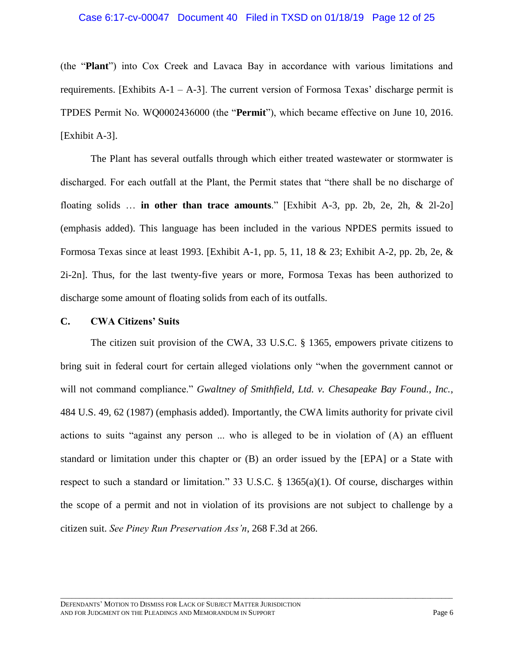### Case 6:17-cv-00047 Document 40 Filed in TXSD on 01/18/19 Page 12 of 25

(the "**Plant**") into Cox Creek and Lavaca Bay in accordance with various limitations and requirements. [Exhibits  $A-1 - A-3$ ]. The current version of Formosa Texas' discharge permit is TPDES Permit No. WQ0002436000 (the "**Permit**"), which became effective on June 10, 2016. [Exhibit A-3].

The Plant has several outfalls through which either treated wastewater or stormwater is discharged. For each outfall at the Plant, the Permit states that "there shall be no discharge of floating solids … **in other than trace amounts**." [Exhibit A-3, pp. 2b, 2e, 2h, & 2l-2o] (emphasis added). This language has been included in the various NPDES permits issued to Formosa Texas since at least 1993. [Exhibit A-1, pp. 5, 11, 18 & 23; Exhibit A-2, pp. 2b, 2e, & 2i-2n]. Thus, for the last twenty-five years or more, Formosa Texas has been authorized to discharge some amount of floating solids from each of its outfalls.

#### **C. CWA Citizens' Suits**

<span id="page-11-2"></span><span id="page-11-1"></span><span id="page-11-0"></span>The citizen suit provision of the CWA, 33 U.S.C. § 1365, empowers private citizens to bring suit in federal court for certain alleged violations only "when the government cannot or will not command compliance." *Gwaltney of Smithfield, Ltd. v. Chesapeake Bay Found., Inc.*, 484 U.S. 49, 62 (1987) (emphasis added). Importantly, the CWA limits authority for private civil actions to suits "against any person ... who is alleged to be in violation of (A) an effluent standard or limitation under this chapter or (B) an order issued by the [EPA] or a State with respect to such a standard or limitation." 33 U.S.C. § 1365(a)(1). Of course, discharges within the scope of a permit and not in violation of its provisions are not subject to challenge by a citizen suit. *See Piney Run Preservation Ass'n*, 268 F.3d at 266.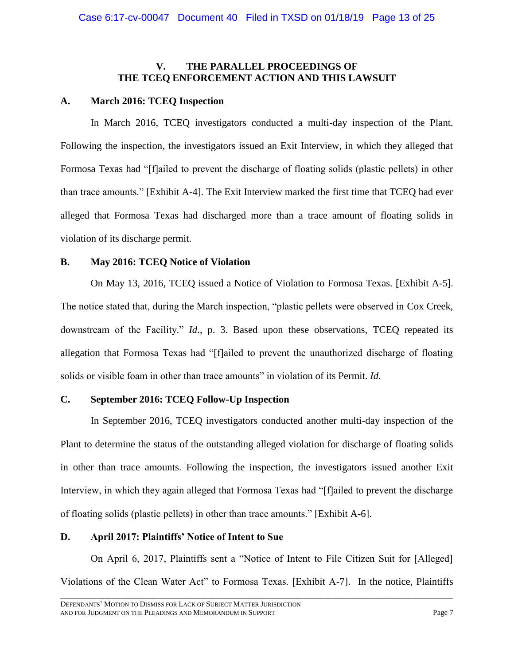### **V. THE PARALLEL PROCEEDINGS OF THE TCEQ ENFORCEMENT ACTION AND THIS LAWSUIT**

### **A. March 2016: TCEQ Inspection**

In March 2016, TCEQ investigators conducted a multi-day inspection of the Plant. Following the inspection, the investigators issued an Exit Interview, in which they alleged that Formosa Texas had "[f]ailed to prevent the discharge of floating solids (plastic pellets) in other than trace amounts." [Exhibit A-4]. The Exit Interview marked the first time that TCEQ had ever alleged that Formosa Texas had discharged more than a trace amount of floating solids in violation of its discharge permit.

### **B. May 2016: TCEQ Notice of Violation**

On May 13, 2016, TCEQ issued a Notice of Violation to Formosa Texas. [Exhibit A-5]. The notice stated that, during the March inspection, "plastic pellets were observed in Cox Creek, downstream of the Facility." *Id*., p. 3. Based upon these observations, TCEQ repeated its allegation that Formosa Texas had "[f]ailed to prevent the unauthorized discharge of floating solids or visible foam in other than trace amounts" in violation of its Permit. *Id*.

# **C. September 2016: TCEQ Follow-Up Inspection**

In September 2016, TCEQ investigators conducted another multi-day inspection of the Plant to determine the status of the outstanding alleged violation for discharge of floating solids in other than trace amounts. Following the inspection, the investigators issued another Exit Interview, in which they again alleged that Formosa Texas had "[f]ailed to prevent the discharge of floating solids (plastic pellets) in other than trace amounts." [Exhibit A-6].

# **D. April 2017: Plaintiffs' Notice of Intent to Sue**

On April 6, 2017, Plaintiffs sent a "Notice of Intent to File Citizen Suit for [Alleged] Violations of the Clean Water Act" to Formosa Texas. [Exhibit A-7]. In the notice, Plaintiffs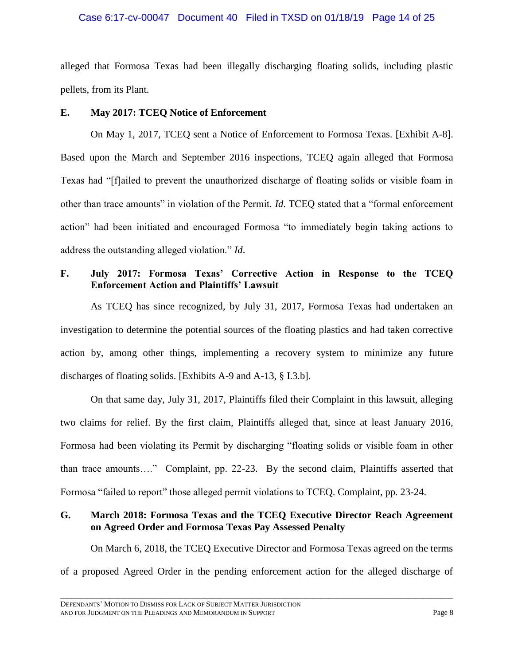#### Case 6:17-cv-00047 Document 40 Filed in TXSD on 01/18/19 Page 14 of 25

alleged that Formosa Texas had been illegally discharging floating solids, including plastic pellets, from its Plant.

### **E. May 2017: TCEQ Notice of Enforcement**

On May 1, 2017, TCEQ sent a Notice of Enforcement to Formosa Texas. [Exhibit A-8]. Based upon the March and September 2016 inspections, TCEQ again alleged that Formosa Texas had "[f]ailed to prevent the unauthorized discharge of floating solids or visible foam in other than trace amounts" in violation of the Permit. *Id*. TCEQ stated that a "formal enforcement action" had been initiated and encouraged Formosa "to immediately begin taking actions to address the outstanding alleged violation." *Id*.

## **F. July 2017: Formosa Texas' Corrective Action in Response to the TCEQ Enforcement Action and Plaintiffs' Lawsuit**

As TCEQ has since recognized, by July 31, 2017, Formosa Texas had undertaken an investigation to determine the potential sources of the floating plastics and had taken corrective action by, among other things, implementing a recovery system to minimize any future discharges of floating solids. [Exhibits A-9 and A-13, § I.3.b].

On that same day, July 31, 2017, Plaintiffs filed their Complaint in this lawsuit, alleging two claims for relief. By the first claim, Plaintiffs alleged that, since at least January 2016, Formosa had been violating its Permit by discharging "floating solids or visible foam in other than trace amounts…." Complaint, pp. 22-23. By the second claim, Plaintiffs asserted that Formosa "failed to report" those alleged permit violations to TCEQ. Complaint, pp. 23-24.

# **G. March 2018: Formosa Texas and the TCEQ Executive Director Reach Agreement on Agreed Order and Formosa Texas Pay Assessed Penalty**

On March 6, 2018, the TCEQ Executive Director and Formosa Texas agreed on the terms of a proposed Agreed Order in the pending enforcement action for the alleged discharge of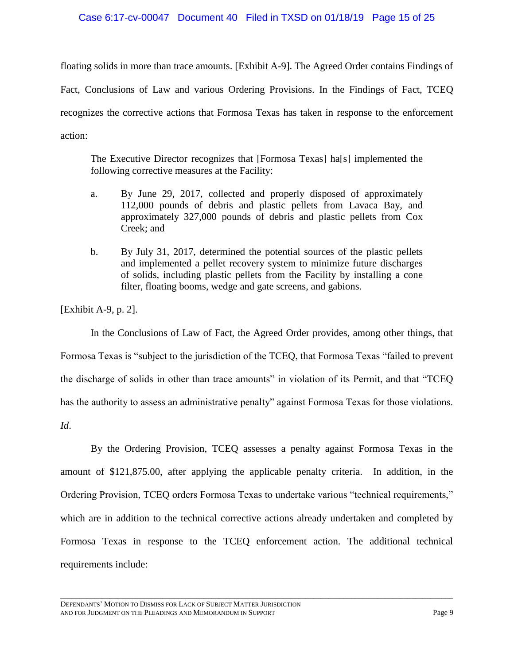#### Case 6:17-cv-00047 Document 40 Filed in TXSD on 01/18/19 Page 15 of 25

floating solids in more than trace amounts. [Exhibit A-9]. The Agreed Order contains Findings of Fact, Conclusions of Law and various Ordering Provisions. In the Findings of Fact, TCEQ recognizes the corrective actions that Formosa Texas has taken in response to the enforcement action:

The Executive Director recognizes that [Formosa Texas] ha[s] implemented the following corrective measures at the Facility:

- a. By June 29, 2017, collected and properly disposed of approximately 112,000 pounds of debris and plastic pellets from Lavaca Bay, and approximately 327,000 pounds of debris and plastic pellets from Cox Creek; and
- b. By July 31, 2017, determined the potential sources of the plastic pellets and implemented a pellet recovery system to minimize future discharges of solids, including plastic pellets from the Facility by installing a cone filter, floating booms, wedge and gate screens, and gabions.

[Exhibit A-9, p. 2].

In the Conclusions of Law of Fact, the Agreed Order provides, among other things, that Formosa Texas is "subject to the jurisdiction of the TCEQ, that Formosa Texas "failed to prevent the discharge of solids in other than trace amounts" in violation of its Permit, and that "TCEQ has the authority to assess an administrative penalty" against Formosa Texas for those violations.

*Id*.

By the Ordering Provision, TCEQ assesses a penalty against Formosa Texas in the amount of \$121,875.00, after applying the applicable penalty criteria. In addition, in the Ordering Provision, TCEQ orders Formosa Texas to undertake various "technical requirements," which are in addition to the technical corrective actions already undertaken and completed by Formosa Texas in response to the TCEQ enforcement action. The additional technical requirements include: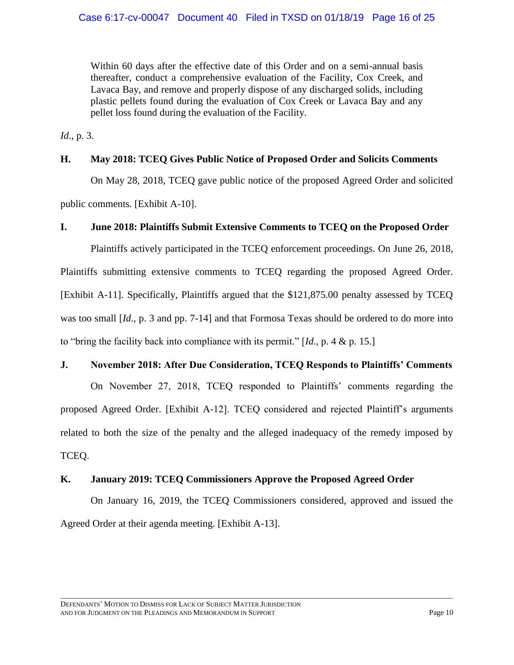Within 60 days after the effective date of this Order and on a semi-annual basis thereafter, conduct a comprehensive evaluation of the Facility, Cox Creek, and Lavaca Bay, and remove and properly dispose of any discharged solids, including plastic pellets found during the evaluation of Cox Creek or Lavaca Bay and any pellet loss found during the evaluation of the Facility.

*Id*., p. 3.

### **H. May 2018: TCEQ Gives Public Notice of Proposed Order and Solicits Comments**

On May 28, 2018, TCEQ gave public notice of the proposed Agreed Order and solicited public comments. [Exhibit A-10].

### **I. June 2018: Plaintiffs Submit Extensive Comments to TCEQ on the Proposed Order**

Plaintiffs actively participated in the TCEQ enforcement proceedings. On June 26, 2018, Plaintiffs submitting extensive comments to TCEQ regarding the proposed Agreed Order. [Exhibit A-11]. Specifically, Plaintiffs argued that the \$121,875.00 penalty assessed by TCEQ was too small [*Id*., p. 3 and pp. 7-14] and that Formosa Texas should be ordered to do more into to "bring the facility back into compliance with its permit." [*Id*., p. 4 & p. 15.]

### **J. November 2018: After Due Consideration, TCEQ Responds to Plaintiffs' Comments**

On November 27, 2018, TCEQ responded to Plaintiffs' comments regarding the proposed Agreed Order. [Exhibit A-12]. TCEQ considered and rejected Plaintiff's arguments related to both the size of the penalty and the alleged inadequacy of the remedy imposed by TCEQ.

# **K. January 2019: TCEQ Commissioners Approve the Proposed Agreed Order**

On January 16, 2019, the TCEQ Commissioners considered, approved and issued the Agreed Order at their agenda meeting. [Exhibit A-13].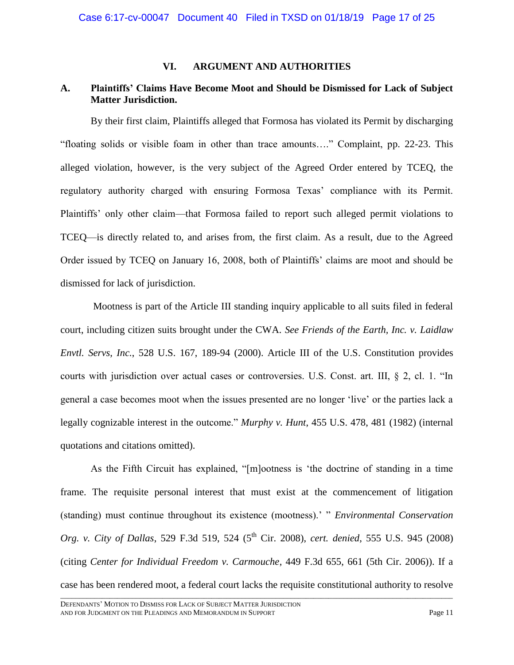### **VI. ARGUMENT AND AUTHORITIES**

# **A. Plaintiffs' Claims Have Become Moot and Should be Dismissed for Lack of Subject Matter Jurisdiction.**

By their first claim, Plaintiffs alleged that Formosa has violated its Permit by discharging "floating solids or visible foam in other than trace amounts…." Complaint, pp. 22-23. This alleged violation, however, is the very subject of the Agreed Order entered by TCEQ, the regulatory authority charged with ensuring Formosa Texas' compliance with its Permit. Plaintiffs' only other claim—that Formosa failed to report such alleged permit violations to TCEQ—is directly related to, and arises from, the first claim. As a result, due to the Agreed Order issued by TCEQ on January 16, 2008, both of Plaintiffs' claims are moot and should be dismissed for lack of jurisdiction.

<span id="page-16-3"></span><span id="page-16-1"></span>Mootness is part of the Article III standing inquiry applicable to all suits filed in federal court, including citizen suits brought under the CWA. *See Friends of the Earth, Inc. v. Laidlaw Envtl. Servs, Inc.*, 528 U.S. 167, 189-94 (2000). Article III of the U.S. Constitution provides courts with jurisdiction over actual cases or controversies. U.S. Const. art. III, § 2, cl. 1. "In general a case becomes moot when the issues presented are no longer 'live' or the parties lack a legally cognizable interest in the outcome." *Murphy v. Hunt*, 455 U.S. 478, 481 (1982) (internal quotations and citations omitted).

<span id="page-16-2"></span><span id="page-16-0"></span>\_\_\_\_\_\_\_\_\_\_\_\_\_\_\_\_\_\_\_\_\_\_\_\_\_\_\_\_\_\_\_\_\_\_\_\_\_\_\_\_\_\_\_\_\_\_\_\_\_\_\_\_\_\_\_\_\_\_\_\_\_\_\_\_\_\_\_\_\_\_\_\_\_\_\_\_\_\_\_\_\_\_\_\_\_\_\_\_\_\_\_\_\_\_\_\_\_\_\_\_\_\_\_\_ As the Fifth Circuit has explained, "[m]ootness is 'the doctrine of standing in a time frame. The requisite personal interest that must exist at the commencement of litigation (standing) must continue throughout its existence (mootness).' " *Environmental Conservation Org. v. City of Dallas, 529 F.3d 519, 524 (5<sup>th</sup> Cir. 2008), <i>cert. denied, 555 U.S. 945 (2008)* (citing *Center for Individual Freedom v. Carmouche*, 449 F.3d 655, 661 (5th Cir. 2006)). If a case has been rendered moot, a federal court lacks the requisite constitutional authority to resolve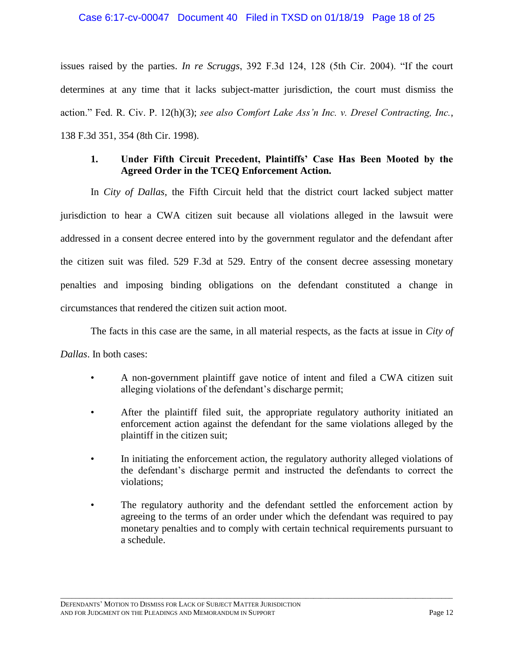#### <span id="page-17-1"></span>Case 6:17-cv-00047 Document 40 Filed in TXSD on 01/18/19 Page 18 of 25

issues raised by the parties. *In re Scruggs*, 392 F.3d 124, 128 (5th Cir. 2004). "If the court determines at any time that it lacks subject-matter jurisdiction, the court must dismiss the action." Fed. R. Civ. P. 12(h)(3); *see also Comfort Lake Ass'n Inc. v. Dresel Contracting, Inc.*, 138 F.3d 351, 354 (8th Cir. 1998).

## <span id="page-17-0"></span>**1. Under Fifth Circuit Precedent, Plaintiffs' Case Has Been Mooted by the Agreed Order in the TCEQ Enforcement Action.**

In *City of Dallas*, the Fifth Circuit held that the district court lacked subject matter jurisdiction to hear a CWA citizen suit because all violations alleged in the lawsuit were addressed in a consent decree entered into by the government regulator and the defendant after the citizen suit was filed. 529 F.3d at 529. Entry of the consent decree assessing monetary penalties and imposing binding obligations on the defendant constituted a change in circumstances that rendered the citizen suit action moot.

The facts in this case are the same, in all material respects, as the facts at issue in *City of Dallas*. In both cases:

- A non-government plaintiff gave notice of intent and filed a CWA citizen suit alleging violations of the defendant's discharge permit;
- After the plaintiff filed suit, the appropriate regulatory authority initiated an enforcement action against the defendant for the same violations alleged by the plaintiff in the citizen suit;
- In initiating the enforcement action, the regulatory authority alleged violations of the defendant's discharge permit and instructed the defendants to correct the violations;
- The regulatory authority and the defendant settled the enforcement action by agreeing to the terms of an order under which the defendant was required to pay monetary penalties and to comply with certain technical requirements pursuant to a schedule.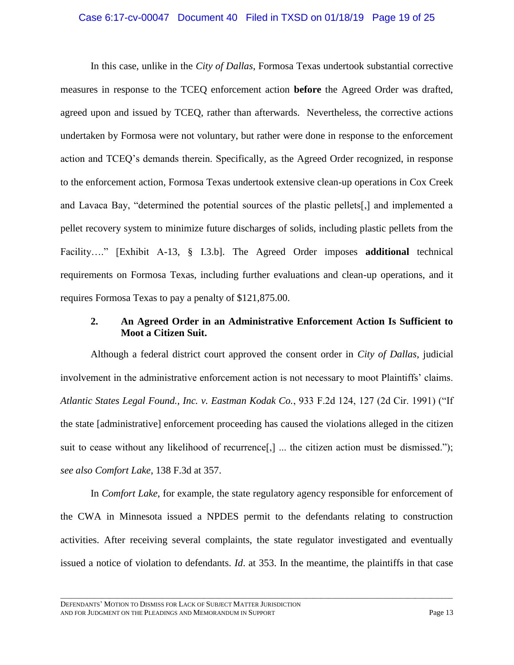#### Case 6:17-cv-00047 Document 40 Filed in TXSD on 01/18/19 Page 19 of 25

In this case, unlike in the *City of Dallas*, Formosa Texas undertook substantial corrective measures in response to the TCEQ enforcement action **before** the Agreed Order was drafted, agreed upon and issued by TCEQ, rather than afterwards. Nevertheless, the corrective actions undertaken by Formosa were not voluntary, but rather were done in response to the enforcement action and TCEQ's demands therein. Specifically, as the Agreed Order recognized, in response to the enforcement action, Formosa Texas undertook extensive clean-up operations in Cox Creek and Lavaca Bay, "determined the potential sources of the plastic pellets[,] and implemented a pellet recovery system to minimize future discharges of solids, including plastic pellets from the Facility…." [Exhibit A-13, § I.3.b]. The Agreed Order imposes **additional** technical requirements on Formosa Texas, including further evaluations and clean-up operations, and it requires Formosa Texas to pay a penalty of \$121,875.00.

### **2. An Agreed Order in an Administrative Enforcement Action Is Sufficient to Moot a Citizen Suit.**

<span id="page-18-0"></span>Although a federal district court approved the consent order in *City of Dallas*, judicial involvement in the administrative enforcement action is not necessary to moot Plaintiffs' claims. *Atlantic States Legal Found., Inc. v. Eastman Kodak Co.*, 933 F.2d 124, 127 (2d Cir. 1991) ("If the state [administrative] enforcement proceeding has caused the violations alleged in the citizen suit to cease without any likelihood of recurrence[,] ... the citizen action must be dismissed."); *see also Comfort Lake*, 138 F.3d at 357.

In *Comfort Lake*, for example, the state regulatory agency responsible for enforcement of the CWA in Minnesota issued a NPDES permit to the defendants relating to construction activities. After receiving several complaints, the state regulator investigated and eventually issued a notice of violation to defendants. *Id*. at 353. In the meantime, the plaintiffs in that case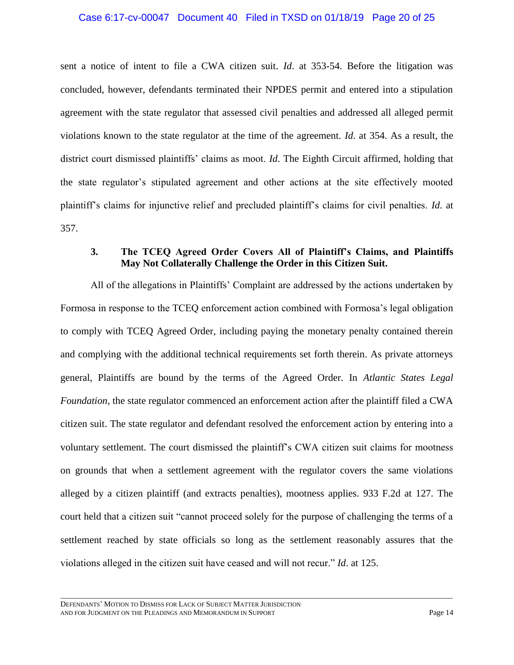### Case 6:17-cv-00047 Document 40 Filed in TXSD on 01/18/19 Page 20 of 25

sent a notice of intent to file a CWA citizen suit. *Id*. at 353-54. Before the litigation was concluded, however, defendants terminated their NPDES permit and entered into a stipulation agreement with the state regulator that assessed civil penalties and addressed all alleged permit violations known to the state regulator at the time of the agreement. *Id*. at 354. As a result, the district court dismissed plaintiffs' claims as moot. *Id*. The Eighth Circuit affirmed, holding that the state regulator's stipulated agreement and other actions at the site effectively mooted plaintiff's claims for injunctive relief and precluded plaintiff's claims for civil penalties. *Id*. at 357.

## **3. The TCEQ Agreed Order Covers All of Plaintiff's Claims, and Plaintiffs May Not Collaterally Challenge the Order in this Citizen Suit.**

All of the allegations in Plaintiffs' Complaint are addressed by the actions undertaken by Formosa in response to the TCEQ enforcement action combined with Formosa's legal obligation to comply with TCEQ Agreed Order, including paying the monetary penalty contained therein and complying with the additional technical requirements set forth therein. As private attorneys general, Plaintiffs are bound by the terms of the Agreed Order. In *Atlantic States Legal Foundation*, the state regulator commenced an enforcement action after the plaintiff filed a CWA citizen suit. The state regulator and defendant resolved the enforcement action by entering into a voluntary settlement. The court dismissed the plaintiff's CWA citizen suit claims for mootness on grounds that when a settlement agreement with the regulator covers the same violations alleged by a citizen plaintiff (and extracts penalties), mootness applies. 933 F.2d at 127. The court held that a citizen suit "cannot proceed solely for the purpose of challenging the terms of a settlement reached by state officials so long as the settlement reasonably assures that the violations alleged in the citizen suit have ceased and will not recur." *Id*. at 125.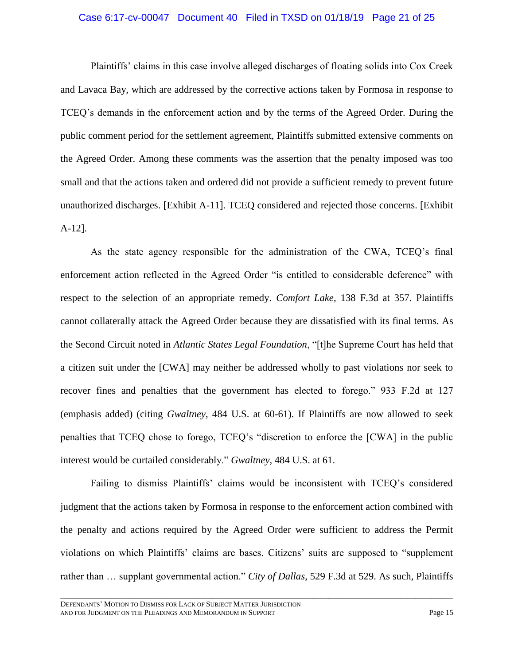#### Case 6:17-cv-00047 Document 40 Filed in TXSD on 01/18/19 Page 21 of 25

Plaintiffs' claims in this case involve alleged discharges of floating solids into Cox Creek and Lavaca Bay, which are addressed by the corrective actions taken by Formosa in response to TCEQ's demands in the enforcement action and by the terms of the Agreed Order. During the public comment period for the settlement agreement, Plaintiffs submitted extensive comments on the Agreed Order. Among these comments was the assertion that the penalty imposed was too small and that the actions taken and ordered did not provide a sufficient remedy to prevent future unauthorized discharges. [Exhibit A-11]. TCEQ considered and rejected those concerns. [Exhibit A-12].

As the state agency responsible for the administration of the CWA, TCEQ's final enforcement action reflected in the Agreed Order "is entitled to considerable deference" with respect to the selection of an appropriate remedy. *Comfort Lake*, 138 F.3d at 357. Plaintiffs cannot collaterally attack the Agreed Order because they are dissatisfied with its final terms. As the Second Circuit noted in *Atlantic States Legal Foundation*, "[t]he Supreme Court has held that a citizen suit under the [CWA] may neither be addressed wholly to past violations nor seek to recover fines and penalties that the government has elected to forego." 933 F.2d at 127 (emphasis added) (citing *Gwaltney*, 484 U.S. at 60-61). If Plaintiffs are now allowed to seek penalties that TCEQ chose to forego, TCEQ's "discretion to enforce the [CWA] in the public interest would be curtailed considerably." *Gwaltney*, 484 U.S. at 61.

Failing to dismiss Plaintiffs' claims would be inconsistent with TCEQ's considered judgment that the actions taken by Formosa in response to the enforcement action combined with the penalty and actions required by the Agreed Order were sufficient to address the Permit violations on which Plaintiffs' claims are bases. Citizens' suits are supposed to "supplement rather than … supplant governmental action." *City of Dallas*, 529 F.3d at 529. As such, Plaintiffs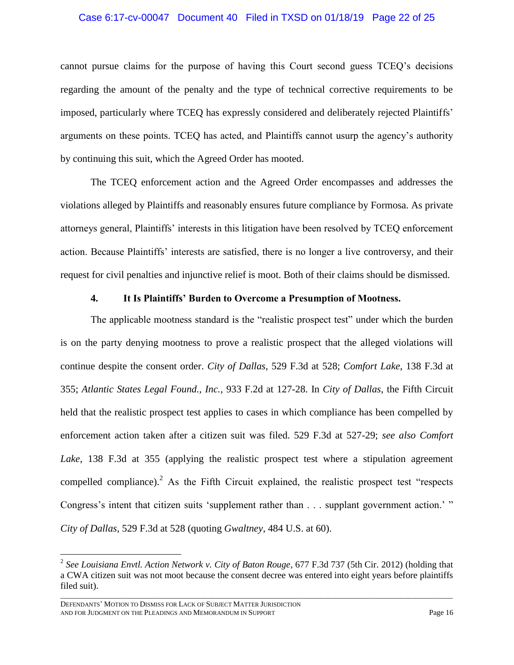#### Case 6:17-cv-00047 Document 40 Filed in TXSD on 01/18/19 Page 22 of 25

cannot pursue claims for the purpose of having this Court second guess TCEQ's decisions regarding the amount of the penalty and the type of technical corrective requirements to be imposed, particularly where TCEQ has expressly considered and deliberately rejected Plaintiffs' arguments on these points. TCEQ has acted, and Plaintiffs cannot usurp the agency's authority by continuing this suit, which the Agreed Order has mooted.

The TCEQ enforcement action and the Agreed Order encompasses and addresses the violations alleged by Plaintiffs and reasonably ensures future compliance by Formosa. As private attorneys general, Plaintiffs' interests in this litigation have been resolved by TCEQ enforcement action. Because Plaintiffs' interests are satisfied, there is no longer a live controversy, and their request for civil penalties and injunctive relief is moot. Both of their claims should be dismissed.

### **4. It Is Plaintiffs' Burden to Overcome a Presumption of Mootness.**

The applicable mootness standard is the "realistic prospect test" under which the burden is on the party denying mootness to prove a realistic prospect that the alleged violations will continue despite the consent order. *City of Dallas*, 529 F.3d at 528; *Comfort Lake*, 138 F.3d at 355; *Atlantic States Legal Found., Inc.*, 933 F.2d at 127-28. In *City of Dallas*, the Fifth Circuit held that the realistic prospect test applies to cases in which compliance has been compelled by enforcement action taken after a citizen suit was filed. 529 F.3d at 527-29; *see also Comfort Lake*, 138 F.3d at 355 (applying the realistic prospect test where a stipulation agreement compelled compliance).<sup>2</sup> As the Fifth Circuit explained, the realistic prospect test "respects" Congress's intent that citizen suits 'supplement rather than . . . supplant government action.' " *City of Dallas*, 529 F.3d at 528 (quoting *Gwaltney*, 484 U.S. at 60).

\_\_\_\_\_\_\_\_\_\_\_\_\_\_\_\_\_\_\_\_\_\_\_\_\_\_\_\_\_\_\_\_\_\_\_\_\_\_\_\_\_\_\_\_\_\_\_\_\_\_\_\_\_\_\_\_\_\_\_\_\_\_\_\_\_\_\_\_\_\_\_\_\_\_\_\_\_\_\_\_\_\_\_\_\_\_\_\_\_\_\_\_\_\_\_\_\_\_\_\_\_\_\_\_

 $\overline{a}$ 

<span id="page-21-0"></span><sup>2</sup> *See Louisiana Envtl. Action Network v. City of Baton Rouge*, 677 F.3d 737 (5th Cir. 2012) (holding that a CWA citizen suit was not moot because the consent decree was entered into eight years before plaintiffs filed suit).

DEFENDANTS' MOTION TO DISMISS FOR LACK OF SUBJECT MATTER JURISDICTION AND FOR JUDGMENT ON THE PLEADINGS AND MEMORANDUM IN SUPPORT PAGE 2004 Page 16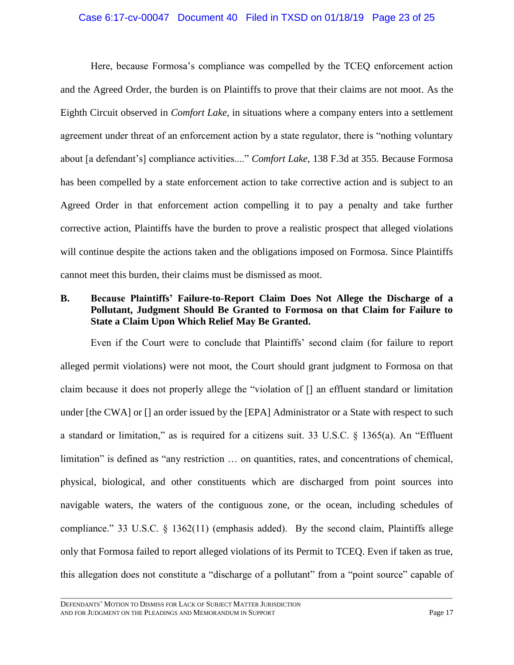#### Case 6:17-cv-00047 Document 40 Filed in TXSD on 01/18/19 Page 23 of 25

Here, because Formosa's compliance was compelled by the TCEQ enforcement action and the Agreed Order, the burden is on Plaintiffs to prove that their claims are not moot. As the Eighth Circuit observed in *Comfort Lake*, in situations where a company enters into a settlement agreement under threat of an enforcement action by a state regulator, there is "nothing voluntary about [a defendant's] compliance activities...." *Comfort Lake*, 138 F.3d at 355. Because Formosa has been compelled by a state enforcement action to take corrective action and is subject to an Agreed Order in that enforcement action compelling it to pay a penalty and take further corrective action, Plaintiffs have the burden to prove a realistic prospect that alleged violations will continue despite the actions taken and the obligations imposed on Formosa. Since Plaintiffs cannot meet this burden, their claims must be dismissed as moot.

## **B. Because Plaintiffs' Failure-to-Report Claim Does Not Allege the Discharge of a Pollutant, Judgment Should Be Granted to Formosa on that Claim for Failure to State a Claim Upon Which Relief May Be Granted.**

<span id="page-22-1"></span><span id="page-22-0"></span>Even if the Court were to conclude that Plaintiffs' second claim (for failure to report alleged permit violations) were not moot, the Court should grant judgment to Formosa on that claim because it does not properly allege the "violation of [] an effluent standard or limitation under [the CWA] or [] an order issued by the [EPA] Administrator or a State with respect to such a standard or limitation," as is required for a citizens suit. 33 U.S.C. § 1365(a). An "Effluent limitation" is defined as "any restriction ... on quantities, rates, and concentrations of chemical, physical, biological, and other constituents which are discharged from point sources into navigable waters, the waters of the contiguous zone, or the ocean, including schedules of compliance." 33 U.S.C.  $\&$  1362(11) (emphasis added). By the second claim, Plaintiffs allege only that Formosa failed to report alleged violations of its Permit to TCEQ. Even if taken as true, this allegation does not constitute a "discharge of a pollutant" from a "point source" capable of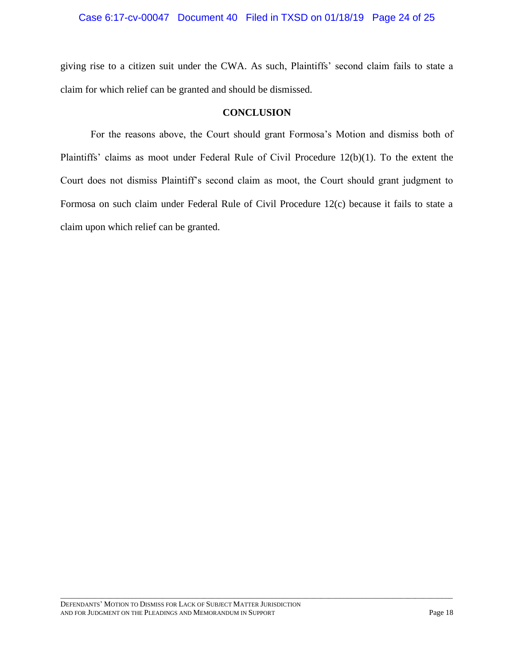### Case 6:17-cv-00047 Document 40 Filed in TXSD on 01/18/19 Page 24 of 25

giving rise to a citizen suit under the CWA. As such, Plaintiffs' second claim fails to state a claim for which relief can be granted and should be dismissed.

#### **CONCLUSION**

For the reasons above, the Court should grant Formosa's Motion and dismiss both of Plaintiffs' claims as moot under Federal Rule of Civil Procedure 12(b)(1). To the extent the Court does not dismiss Plaintiff's second claim as moot, the Court should grant judgment to Formosa on such claim under Federal Rule of Civil Procedure 12(c) because it fails to state a claim upon which relief can be granted.